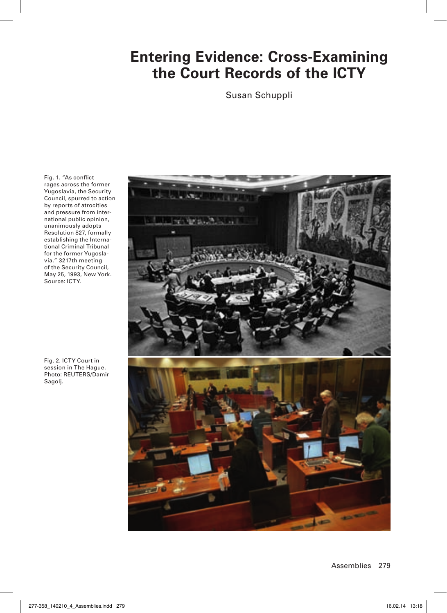# **Entering Evidence: Cross-Examining the Court Records of the ICTY**

Susan Schuppli

Fig. 1. "As conflict rages across the former Yugoslavia, the Security Council, spurred to action by reports of atrocities and pressure from international public opinion, unanimously adopts Resolution 827, formally establishing the International Criminal Tribunal for the former Yugoslavia." 3217th meeting of the Security Council, May 25, 1993, New York. Source: ICTY.

Fig. 2. ICTY Court in session in The Hague. Photo: REUTERS/Damir Sagolj.

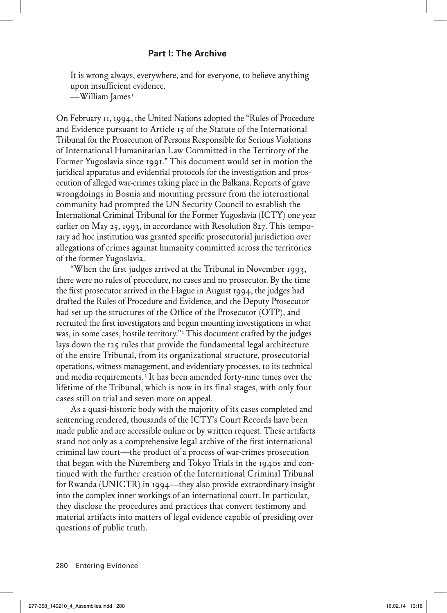## **Part I: The Archive**

It is wrong always, everywhere, and for everyone, to believe anything upon insufficient evidence.

—William James 1

On February 11, 1994, the United Nations adopted the "Rules of Procedure and Evidence pursuant to Article 15 of the Statute of the International Tribunal for the Prosecution of Persons Responsible for Serious Violations of International Humanitarian Law Committed in the Territory of the Former Yugoslavia since 1991." This document would set in motion the juridical apparatus and evidential protocols for the investigation and prosecution of alleged war-crimes taking place in the Balkans. Reports of grave wrongdoings in Bosnia and mounting pressure from the international community had prompted the UN Security Council to establish the International Criminal Tribunal for the Former Yugoslavia (ICTY) one year earlier on May 25, 1993, in accordance with Resolution 827. This temporary ad hoc institution was granted specific prosecutorial jurisdiction over allegations of crimes against humanity committed across the territories of the former Yugoslavia.

"When the first judges arrived at the Tribunal in November 1993, there were no rules of procedure, no cases and no prosecutor. By the time the first prosecutor arrived in the Hague in August 1994, the judges had drafted the Rules of Procedure and Evidence, and the Deputy Prosecutor had set up the structures of the Office of the Prosecutor (OTP), and recruited the first investigators and begun mounting investigations in what was, in some cases, hostile territory."<sup>2</sup> This document crafted by the judges lays down the 125 rules that provide the fundamental legal architecture of the entire Tribunal, from its organizational structure, prosecutorial operations, witness management, and evidentiary processes, to its technical and media requirements. 3 It has been amended forty-nine times over the lifetime of the Tribunal, which is now in its final stages, with only four cases still on trial and seven more on appeal.

As a quasi-historic body with the majority of its cases completed and sentencing rendered, thousands of the ICTY's Court Records have been made public and are accessible online or by written request. These artifacts stand not only as a comprehensive legal archive of the first international criminal law court—the product of a process of war-crimes prosecution that began with the Nuremberg and Tokyo Trials in the 1940s and continued with the further creation of the International Criminal Tribunal for Rwanda (UNICTR) in 1994—they also provide extraordinary insight into the complex inner workings of an international court. In particular, they disclose the procedures and practices that convert testimony and material artifacts into matters of legal evidence capable of presiding over questions of public truth.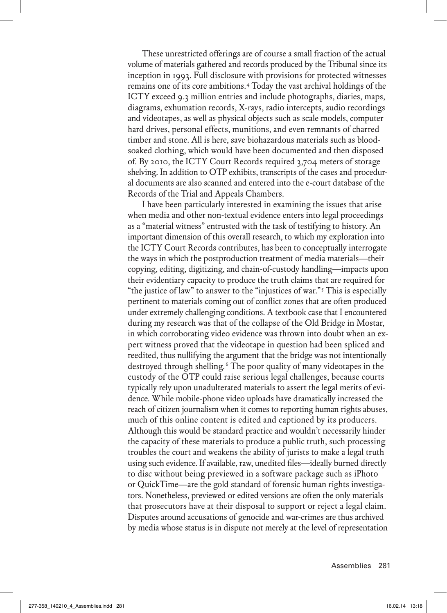These unrestricted offerings are of course a small fraction of the actual volume of materials gathered and records produced by the Tribunal since its inception in 1993. Full disclosure with provisions for protected witnesses remains one of its core ambitions. 4 Today the vast archival holdings of the ICTY exceed 9.3 million entries and include photographs, diaries, maps, diagrams, exhumation records, X-rays, radio intercepts, audio recordings and videotapes, as well as physical objects such as scale models, computer hard drives, personal effects, munitions, and even remnants of charred timber and stone. All is here, save biohazardous materials such as bloodsoaked clothing, which would have been documented and then disposed of. By 2010, the ICTY Court Records required 3,704 meters of storage shelving. In addition to OTP exhibits, transcripts of the cases and procedural documents are also scanned and entered into the e-court database of the Records of the Trial and Appeals Chambers.

I have been particularly interested in examining the issues that arise when media and other non-textual evidence enters into legal proceedings as a "material witness" entrusted with the task of testifying to history. An important dimension of this overall research, to which my exploration into the ICTY Court Records contributes, has been to conceptually interrogate the ways in which the postproduction treatment of media materials—their copying, editing, digitizing, and chain-of-custody handling—impacts upon their evidentiary capacity to produce the truth claims that are required for "the justice of law" to answer to the "injustices of war." 5 This is especially pertinent to materials coming out of conflict zones that are often produced under extremely challenging conditions. A textbook case that I encountered during my research was that of the collapse of the Old Bridge in Mostar, in which corroborating video evidence was thrown into doubt when an expert witness proved that the videotape in question had been spliced and reedited, thus nullifying the argument that the bridge was not intentionally destroyed through shelling. 6 The poor quality of many videotapes in the custody of the OTP could raise serious legal challenges, because courts typically rely upon unadulterated materials to assert the legal merits of evidence. While mobile-phone video uploads have dramatically increased the reach of citizen journalism when it comes to reporting human rights abuses, much of this online content is edited and captioned by its producers. Although this would be standard practice and wouldn't necessarily hinder the capacity of these materials to produce a public truth, such processing troubles the court and weakens the ability of jurists to make a legal truth using such evidence. If available, raw, unedited files—ideally burned directly to disc without being previewed in a software package such as iPhoto or QuickTime—are the gold standard of forensic human rights investigators. Nonetheless, previewed or edited versions are often the only materials that prosecutors have at their disposal to support or reject a legal claim. Disputes around accusations of genocide and war-crimes are thus archived by media whose status is in dispute not merely at the level of representation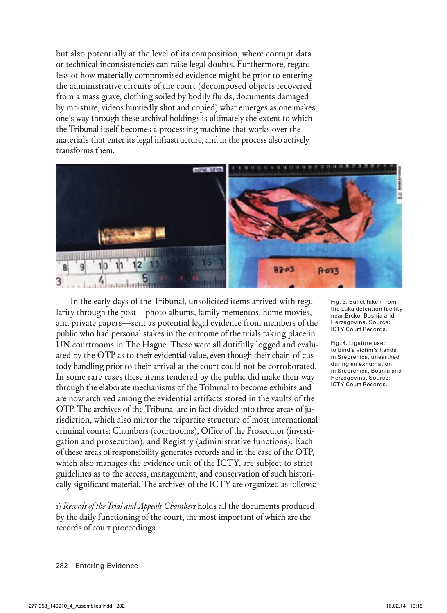but also potentially at the level of its composition, where corrupt data or technical inconsistencies can raise legal doubts. Furthermore, regardless of how materially compromised evidence might be prior to entering the administrative circuits of the court (decomposed objects recovered from a mass grave, clothing soiled by bodily fluids, documents damaged by moisture, videos hurriedly shot and copied) what emerges as one makes one's way through these archival holdings is ultimately the extent to which the Tribunal itself becomes a processing machine that works over the materials that enter its legal infrastructure, and in the process also actively transforms them.



In the early days of the Tribunal, unsolicited items arrived with regularity through the post—photo albums, family mementos, home movies, and private papers—sent as potential legal evidence from members of the public who had personal stakes in the outcome of the trials taking place in UN courtrooms in The Hague. These were all dutifully logged and evaluated by the OTP as to their evidential value, even though their chain-of-custody handling prior to their arrival at the court could not be corroborated. In some rare cases these items tendered by the public did make their way through the elaborate mechanisms of the Tribunal to become exhibits and are now archived among the evidential artifacts stored in the vaults of the OTP. The archives of the Tribunal are in fact divided into three areas of jurisdiction, which also mirror the tripartite structure of most international criminal courts: Chambers (courtrooms), Office of the Prosecutor (investigation and prosecution), and Registry (administrative functions). Each of these areas of responsibility generates records and in the case of the OTP, which also manages the evidence unit of the ICTY, are subject to strict guidelines as to the access, management, and conservation of such historically significant material. The archives of the ICTY are organized as follows:

i) *Records of the Trial and Appeals Chambers* holds all the documents produced by the daily functioning of the court, the most important of which are the records of court proceedings.

Fig. 3. Bullet taken from the Luka detention facility near Brčko, Bosnia and Herzegovina. Source: ICTY Court Records.

Fig. 4. Ligature used to bind a victim's hands in Srebrenica, unearthed during an exhumation in Srebrenica, Bosnia and Herzegovina. Source: ICTY Court Records.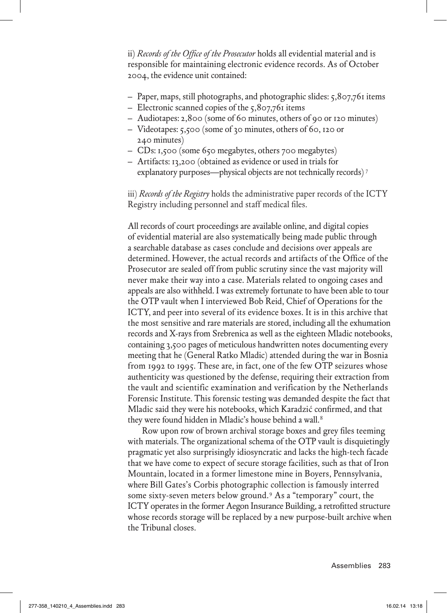ii) *Records of the Office of the Prosecutor* holds all evidential material and is responsible for maintaining electronic evidence records. As of October 2004, the evidence unit contained:

- Paper, maps, still photographs, and photographic slides: 5,807,761 items
- Electronic scanned copies of the  $5,807,761$  items
- Audiotapes: 2,800 (some of 60 minutes, others of 90 or 120 minutes)
- Videotapes: 5,500 (some of 30 minutes, others of 60, 120 or 240 minutes)
- CDs: 1,500 (some 650 megabytes, others 700 megabytes)
- Artifacts: 13,200 (obtained as evidence or used in trials for explanatory purposes—physical objects are not technically records)<sup>7</sup>

iii) *Records of the Registry* holds the administrative paper records of the ICTY Registry including personnel and staff medical files.

All records of court proceedings are available online, and digital copies of evidential material are also systematically being made public through a searchable database as cases conclude and decisions over appeals are determined. However, the actual records and artifacts of the Office of the Prosecutor are sealed off from public scrutiny since the vast majority will never make their way into a case. Materials related to ongoing cases and appeals are also withheld. I was extremely fortunate to have been able to tour the OTP vault when I interviewed Bob Reid, Chief of Operations for the ICTY, and peer into several of its evidence boxes. It is in this archive that the most sensitive and rare materials are stored, including all the exhumation records and X-rays from Srebrenica as well as the eighteen Mladic notebooks, containing 3,500 pages of meticulous handwritten notes documenting every meeting that he (General Ratko Mladic) attended during the war in Bosnia from 1992 to 1995. These are, in fact, one of the few OTP seizures whose authenticity was questioned by the defense, requiring their extraction from the vault and scientific examination and verification by the Netherlands Forensic Institute. This forensic testing was demanded despite the fact that Mladic said they were his notebooks, which Karadzić confirmed, and that they were found hidden in Mladic's house behind a wall. 8

Row upon row of brown archival storage boxes and grey files teeming with materials. The organizational schema of the OTP vault is disquietingly pragmatic yet also surprisingly idiosyncratic and lacks the high-tech facade that we have come to expect of secure storage facilities, such as that of Iron Mountain, located in a former limestone mine in Boyers, Pennsylvania, where Bill Gates's Corbis photographic collection is famously interred some sixty-seven meters below ground. 9 As a "temporary" court, the ICTY operates in the former Aegon Insurance Building, a retrofitted structure whose records storage will be replaced by a new purpose-built archive when the Tribunal closes.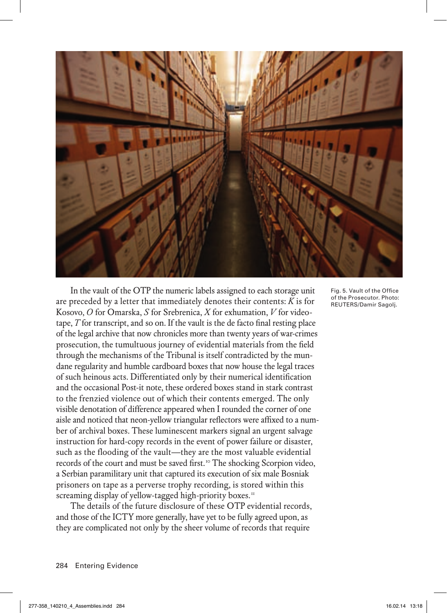

In the vault of the OTP the numeric labels assigned to each storage unit are preceded by a letter that immediately denotes their contents: *K* is for Kosovo, *O* for Omarska, *S* for Srebrenica, *X* for exhumation, *V* for videotape, *T* for transcript, and so on. If the vault is the de facto final resting place of the legal archive that now chronicles more than twenty years of war-crimes prosecution, the tumultuous journey of evidential materials from the field through the mechanisms of the Tribunal is itself contradicted by the mundane regularity and humble cardboard boxes that now house the legal traces of such heinous acts. Differentiated only by their numerical identification and the occasional Post-it note, these ordered boxes stand in stark contrast to the frenzied violence out of which their contents emerged. The only visible denotation of difference appeared when I rounded the corner of one aisle and noticed that neon-yellow triangular reflectors were affixed to a number of archival boxes. These luminescent markers signal an urgent salvage instruction for hard-copy records in the event of power failure or disaster, such as the flooding of the vault—they are the most valuable evidential records of the court and must be saved first.<sup>10</sup> The shocking Scorpion video, a Serbian paramilitary unit that captured its execution of six male Bosniak prisoners on tape as a perverse trophy recording, is stored within this screaming display of yellow-tagged high-priority boxes.<sup>11</sup>

The details of the future disclosure of these OTP evidential records, and those of the ICTY more generally, have yet to be fully agreed upon, as they are complicated not only by the sheer volume of records that require

Fig. 5. Vault of the Office of the Prosecutor. Photo: REUTERS/Damir Sagolj.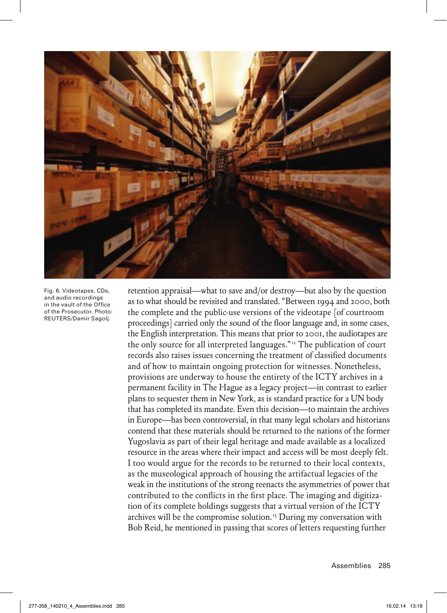

Fig. 6. Videotapes, CDs, and audio recordings in the vault of the Office of the Prosecutor. Photo: REUTERS/Damir Sagolj.

retention appraisal—what to save and/or destroy—but also by the question as to what should be revisited and translated. "Between 1994 and 2000, both the complete and the public-use versions of the videotape [of courtroom proceedings] carried only the sound of the floor language and, in some cases, the English interpretation. This means that prior to 2001, the audiotapes are the only source for all interpreted languages."<sup>12</sup> The publication of court records also raises issues concerning the treatment of classified documents and of how to maintain ongoing protection for witnesses. Nonetheless, provisions are underway to house the entirety of the ICTY archives in a permanent facility in The Hague as a legacy project—in contrast to earlier plans to sequester them in New York, as is standard practice for a UN body that has completed its mandate. Even this decision—to maintain the archives in Europe—has been controversial, in that many legal scholars and historians contend that these materials should be returned to the nations of the former Yugoslavia as part of their legal heritage and made available as a localized resource in the areas where their impact and access will be most deeply felt. I too would argue for the records to be returned to their local contexts, as the museological approach of housing the artifactual legacies of the weak in the institutions of the strong reenacts the asymmetries of power that contributed to the conflicts in the first place. The imaging and digitization of its complete holdings suggests that a virtual version of the ICTY archives will be the compromise solution.<sup>13</sup> During my conversation with Bob Reid, he mentioned in passing that scores of letters requesting further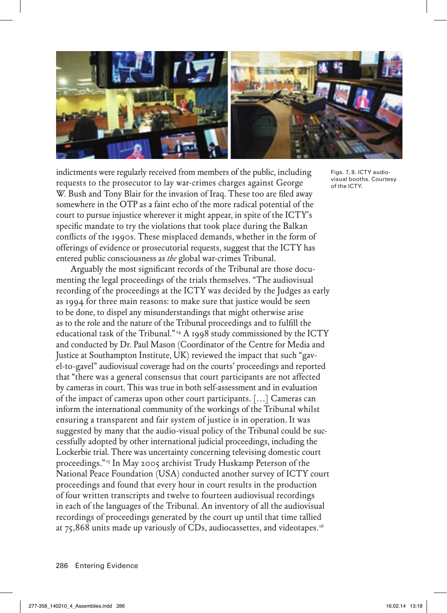

indictments were regularly received from members of the public, including requests to the prosecutor to lay war-crimes charges against George W. Bush and Tony Blair for the invasion of Iraq. These too are filed away somewhere in the OTP as a faint echo of the more radical potential of the court to pursue injustice wherever it might appear, in spite of the ICTY's specific mandate to try the violations that took place during the Balkan conflicts of the 1990s. These misplaced demands, whether in the form of offerings of evidence or prosecutorial requests, suggest that the ICTY has entered public consciousness as *the* global war-crimes Tribunal.

Arguably the most significant records of the Tribunal are those documenting the legal proceedings of the trials themselves. "The audiovisual recording of the proceedings at the ICTY was decided by the Judges as early as 1994 for three main reasons: to make sure that justice would be seen to be done, to dispel any misunderstandings that might otherwise arise as to the role and the nature of the Tribunal proceedings and to fulfill the educational task of the Tribunal." 14 A 1998 study commissioned by the ICTY and conducted by Dr. Paul Mason (Coordinator of the Centre for Media and Justice at Southampton Institute, UK) reviewed the impact that such "gavel-to-gavel" audiovisual coverage had on the courts' proceedings and reported that "there was a general consensus that court participants are not affected by cameras in court. This was true in both self-assessment and in evaluation of the impact of cameras upon other court participants. […] Cameras can inform the international community of the workings of the Tribunal whilst ensuring a transparent and fair system of justice is in operation. It was suggested by many that the audio-visual policy of the Tribunal could be successfully adopted by other international judicial proceedings, including the Lockerbie trial. There was uncertainty concerning televising domestic court proceedings." 15 In May 2005 archivist Trudy Huskamp Peterson of the National Peace Foundation (USA) conducted another survey of ICTY court proceedings and found that every hour in court results in the production of four written transcripts and twelve to fourteen audiovisual recordings in each of the languages of the Tribunal. An inventory of all the audiovisual recordings of proceedings generated by the court up until that time tallied at 75,868 units made up variously of CDs, audiocassettes, and videotapes.<sup>16</sup>

Figs. 7, 8. ICTY audiovisual booths. Courtesy of the ICTY.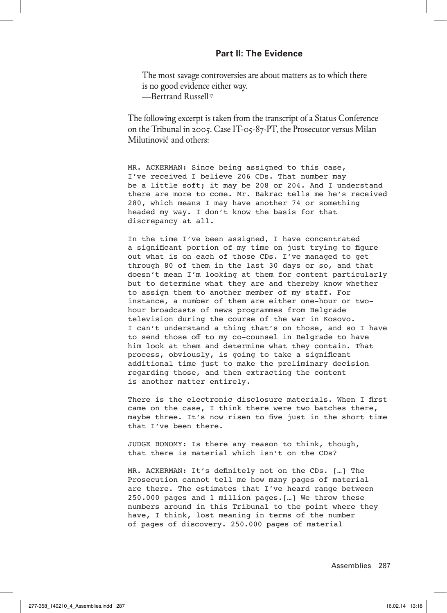# **Part II: The Evidence**

The most savage controversies are about matters as to which there is no good evidence either way. —Bertrand Russell 17

The following excerpt is taken from the transcript of a Status Conference on the Tribunal in 2005. Case IT-05-87-PT, the Prosecutor versus Milan Milutinović and others:

MR. ACKERMAN: Since being assigned to this case, I've received I believe 206 CDs. That number may be a little soft; it may be 208 or 204. And I understand there are more to come. Mr. Bakrac tells me he's received 280, which means I may have another 74 or something headed my way. I don't know the basis for that discrepancy at all.

In the time I've been assigned, I have concentrated a significant portion of my time on just trying to figure out what is on each of those CDs. I've managed to get through 80 of them in the last 30 days or so, and that doesn't mean I'm looking at them for content particularly but to determine what they are and thereby know whether to assign them to another member of my staff. For instance, a number of them are either one-hour or twohour broadcasts of news programmes from Belgrade television during the course of the war in Kosovo. I can't understand a thing that's on those, and so I have to send those off to my co-counsel in Belgrade to have him look at them and determine what they contain. That process, obviously, is going to take a significant additional time just to make the preliminary decision regarding those, and then extracting the content is another matter entirely.

There is the electronic disclosure materials. When I first came on the case, I think there were two batches there, maybe three. It's now risen to five just in the short time that I've been there.

JUDGE BONOMY: Is there any reason to think, though, that there is material which isn't on the CDs?

MR. ACKERMAN: It's definitely not on the CDs. [...] The Prosecution cannot tell me how many pages of material are there. The estimates that I've heard range between 250.000 pages and 1 million pages.[…] We throw these numbers around in this Tribunal to the point where they have, I think, lost meaning in terms of the number of pages of discovery. 250.000 pages of material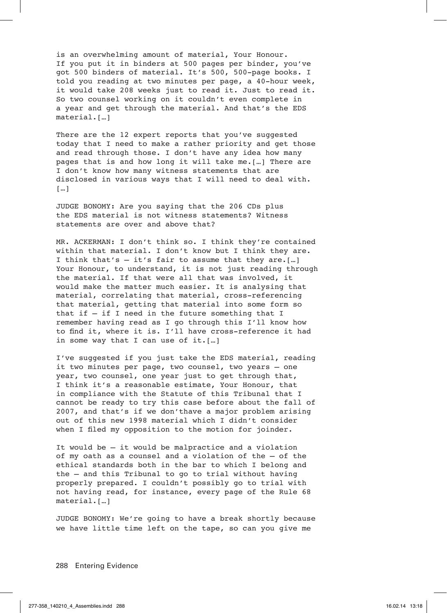is an overwhelming amount of material, Your Honour. If you put it in binders at 500 pages per binder, you've got 500 binders of material. It's 500, 500-page books. I told you reading at two minutes per page, a 40-hour week, it would take 208 weeks just to read it. Just to read it. So two counsel working on it couldn't even complete in a year and get through the material. And that's the EDS material.[…]

There are the 12 expert reports that you've suggested today that I need to make a rather priority and get those and read through those. I don't have any idea how many pages that is and how long it will take me.[…] There are I don't know how many witness statements that are disclosed in various ways that I will need to deal with. […]

JUDGE BONOMY: Are you saying that the 206 CDs plus the EDS material is not witness statements? Witness statements are over and above that?

MR. ACKERMAN: I don't think so. I think they're contained within that material. I don't know but I think they are. I think that's  $-$  it's fair to assume that they are. [...] Your Honour, to understand, it is not just reading through the material. If that were all that was involved, it would make the matter much easier. It is analysing that material, correlating that material, cross-referencing that material, getting that material into some form so that if  $-$  if I need in the future something that I remember having read as I go through this I'll know how to find it, where it is. I'll have cross-reference it had in some way that I can use of it.[…]

I've suggested if you just take the EDS material, reading it two minutes per page, two counsel, two years — one year, two counsel, one year just to get through that, I think it's a reasonable estimate, Your Honour, that in compliance with the Statute of this Tribunal that I cannot be ready to try this case before about the fall of 2007, and that's if we don'thave a major problem arising out of this new 1998 material which I didn't consider when I filed my opposition to the motion for joinder.

It would be — it would be malpractice and a violation of my oath as a counsel and a violation of the — of the ethical standards both in the bar to which I belong and the — and this Tribunal to go to trial without having properly prepared. I couldn't possibly go to trial with not having read, for instance, every page of the Rule 68 material.[…]

JUDGE BONOMY: We're going to have a break shortly because we have little time left on the tape, so can you give me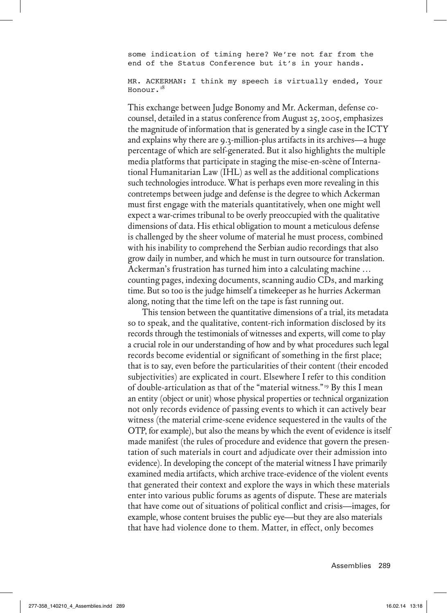some indication of timing here? We're not far from the end of the Status Conference but it's in your hands.

MR. ACKERMAN: I think my speech is virtually ended, Your Honour. $^{18}$ 

This exchange between Judge Bonomy and Mr. Ackerman, defense cocounsel, detailed in a status conference from August 25, 2005, emphasizes the magnitude of information that is generated by a single case in the ICTY and explains why there are 9.3-million-plus artifacts in its archives—a huge percentage of which are self-generated. But it also highlights the multiple media platforms that participate in staging the mise-en-scène of International Humanitarian Law (IHL) as well as the additional complications such technologies introduce. What is perhaps even more revealing in this contretemps between judge and defense is the degree to which Ackerman must first engage with the materials quantitatively, when one might well expect a war-crimes tribunal to be overly preoccupied with the qualitative dimensions of data. His ethical obligation to mount a meticulous defense is challenged by the sheer volume of material he must process, combined with his inability to comprehend the Serbian audio recordings that also grow daily in number, and which he must in turn outsource for translation. Ackerman's frustration has turned him into a calculating machine … counting pages, indexing documents, scanning audio CDs, and marking time. But so too is the judge himself a timekeeper as he hurries Ackerman along, noting that the time left on the tape is fast running out.

This tension between the quantitative dimensions of a trial, its metadata so to speak, and the qualitative, content-rich information disclosed by its records through the testimonials of witnesses and experts, will come to play a crucial role in our understanding of how and by what procedures such legal records become evidential or significant of something in the first place; that is to say, even before the particularities of their content (their encoded subjectivities) are explicated in court. Elsewhere I refer to this condition of double-articulation as that of the "material witness." 19 By this I mean an entity (object or unit) whose physical properties or technical organization not only records evidence of passing events to which it can actively bear witness (the material crime-scene evidence sequestered in the vaults of the OTP, for example), but also the means by which the event of evidence is itself made manifest (the rules of procedure and evidence that govern the presentation of such materials in court and adjudicate over their admission into evidence). In developing the concept of the material witness I have primarily examined media artifacts, which archive trace-evidence of the violent events that generated their context and explore the ways in which these materials enter into various public forums as agents of dispute. These are materials that have come out of situations of political conflict and crisis—images, for example, whose content bruises the public eye—but they are also materials that have had violence done to them. Matter, in effect, only becomes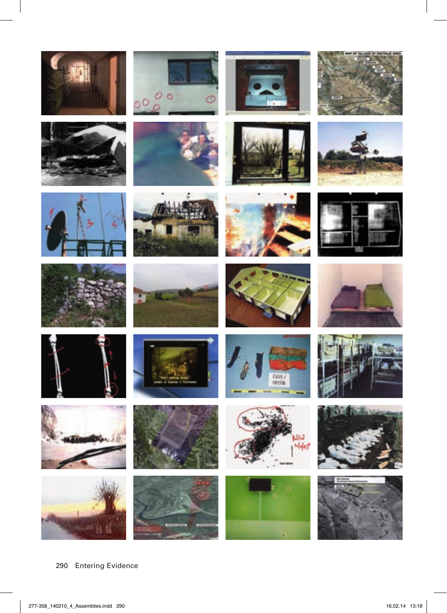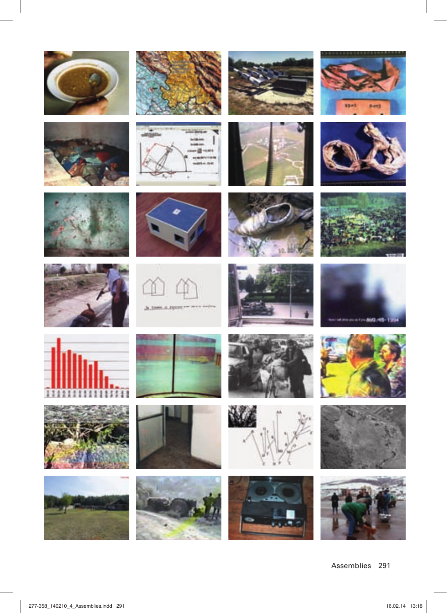











Aves

8303





































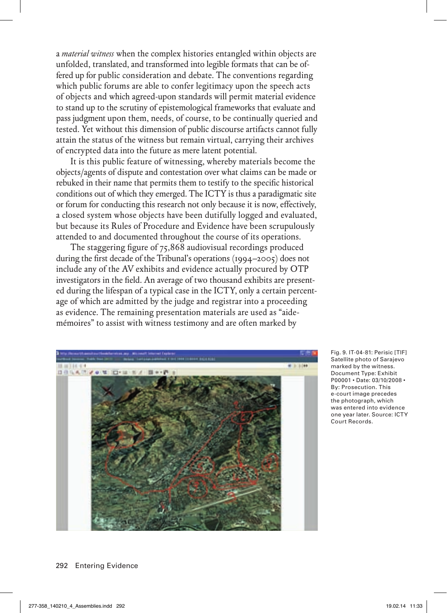a *material witness* when the complex histories entangled within objects are unfolded, translated, and transformed into legible formats that can be offered up for public consideration and debate. The conventions regarding which public forums are able to confer legitimacy upon the speech acts of objects and which agreed-upon standards will permit material evidence to stand up to the scrutiny of epistemological frameworks that evaluate and pass judgment upon them, needs, of course, to be continually queried and tested. Yet without this dimension of public discourse artifacts cannot fully attain the status of the witness but remain virtual, carrying their archives of encrypted data into the future as mere latent potential.

It is this public feature of witnessing, whereby materials become the objects/agents of dispute and contestation over what claims can be made or rebuked in their name that permits them to testify to the specific historical conditions out of which they emerged. The ICTY is thus a paradigmatic site or forum for conducting this research not only because it is now, effectively, a closed system whose objects have been dutifully logged and evaluated, but because its Rules of Procedure and Evidence have been scrupulously attended to and documented throughout the course of its operations.

The staggering figure of  $75,868$  audiovisual recordings produced during the first decade of the Tribunal's operations (1994–2005) does not include any of the AV exhibits and evidence actually procured by OTP investigators in the field. An average of two thousand exhibits are presented during the lifespan of a typical case in the ICTY, only a certain percentage of which are admitted by the judge and registrar into a proceeding as evidence. The remaining presentation materials are used as "aidemémoires" to assist with witness testimony and are often marked by



Fig. 9. IT-04-81: Perisic [TIF] Satellite photo of Sarajevo marked by the witness. Document Type: Exhibit P00001 • Date: 03/10/2008 • By: Prosecution. This e-court image precedes the photograph, which was entered into evidence one year later. Source: ICTY Court Records.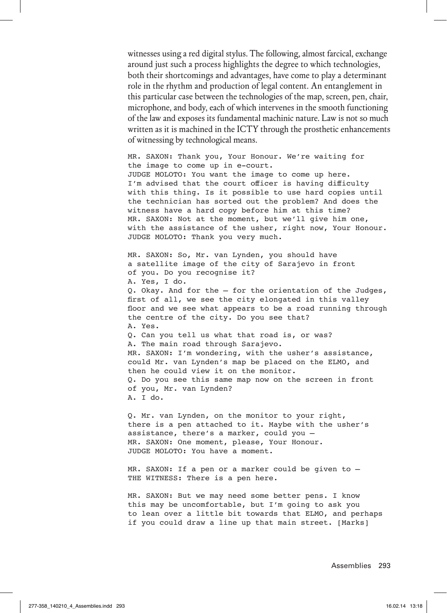witnesses using a red digital stylus. The following, almost farcical, exchange around just such a process highlights the degree to which technologies, both their shortcomings and advantages, have come to play a determinant role in the rhythm and production of legal content. An entanglement in this particular case between the technologies of the map, screen, pen, chair, microphone, and body, each of which intervenes in the smooth functioning of the law and exposes its fundamental machinic nature. Law is not so much written as it is machined in the ICTY through the prosthetic enhancements of witnessing by technological means.

MR. SAXON: Thank you, Your Honour. We're waiting for the image to come up in e-court. JUDGE MOLOTO: You want the image to come up here. I'm advised that the court officer is having difficulty with this thing. Is it possible to use hard copies until the technician has sorted out the problem? And does the witness have a hard copy before him at this time? MR. SAXON: Not at the moment, but we'll give him one, with the assistance of the usher, right now, Your Honour. JUDGE MOLOTO: Thank you very much.

MR. SAXON: So, Mr. van Lynden, you should have a satellite image of the city of Sarajevo in front of you. Do you recognise it? A. Yes, I do. Q. Okay. And for the — for the orientation of the Judges, first of all, we see the city elongated in this valley floor and we see what appears to be a road running through the centre of the city. Do you see that? A. Yes. Q. Can you tell us what that road is, or was? A. The main road through Sarajevo. MR. SAXON: I'm wondering, with the usher's assistance, could Mr. van Lynden's map be placed on the ELMO, and then he could view it on the monitor. Q. Do you see this same map now on the screen in front of you, Mr. van Lynden? A. I do.

Q. Mr. van Lynden, on the monitor to your right, there is a pen attached to it. Maybe with the usher's assistance, there's a marker, could you — MR. SAXON: One moment, please, Your Honour. JUDGE MOLOTO: You have a moment.

MR. SAXON: If a pen or a marker could be given to — THE WITNESS: There is a pen here.

MR. SAXON: But we may need some better pens. I know this may be uncomfortable, but I'm going to ask you to lean over a little bit towards that ELMO, and perhaps if you could draw a line up that main street. [Marks]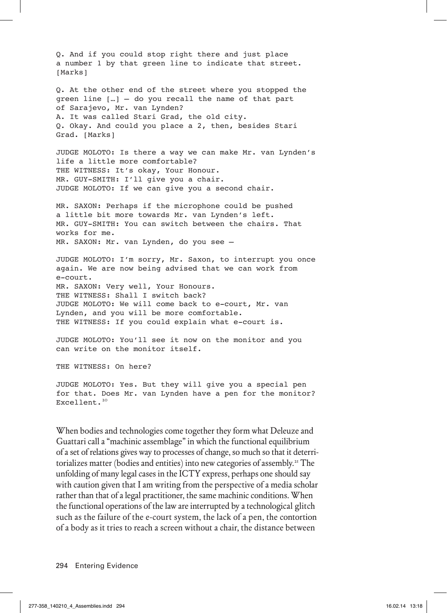Q. And if you could stop right there and just place a number 1 by that green line to indicate that street. [Marks]

Q. At the other end of the street where you stopped the green line […] — do you recall the name of that part of Sarajevo, Mr. van Lynden? A. It was called Stari Grad, the old city. Q. Okay. And could you place a 2, then, besides Stari Grad. [Marks]

JUDGE MOLOTO: Is there a way we can make Mr. van Lynden's life a little more comfortable? THE WITNESS: It's okay, Your Honour. MR. GUY-SMITH: I'll give you a chair. JUDGE MOLOTO: If we can give you a second chair.

MR. SAXON: Perhaps if the microphone could be pushed a little bit more towards Mr. van Lynden's left. MR. GUY-SMITH: You can switch between the chairs. That works for me. MR. SAXON: Mr. van Lynden, do you see —

JUDGE MOLOTO: I'm sorry, Mr. Saxon, to interrupt you once again. We are now being advised that we can work from e-court. MR. SAXON: Very well, Your Honours. THE WITNESS: Shall I switch back? JUDGE MOLOTO: We will come back to e-court, Mr. van Lynden, and you will be more comfortable. THE WITNESS: If you could explain what e-court is.

JUDGE MOLOTO: You'll see it now on the monitor and you can write on the monitor itself.

THE WITNESS: On here?

JUDGE MOLOTO: Yes. But they will give you a special pen for that. Does Mr. van Lynden have a pen for the monitor? Excellent.<sup>20</sup>

When bodies and technologies come together they form what Deleuze and Guattari call a "machinic assemblage" in which the functional equilibrium of a set of relations gives way to processes of change, so much so that it deterritorializes matter (bodies and entities) into new categories of assembly.<sup>21</sup> The unfolding of many legal cases in the ICTY express, perhaps one should say with caution given that I am writing from the perspective of a media scholar rather than that of a legal practitioner, the same machinic conditions. When the functional operations of the law are interrupted by a technological glitch such as the failure of the e-court system, the lack of a pen, the contortion of a body as it tries to reach a screen without a chair, the distance between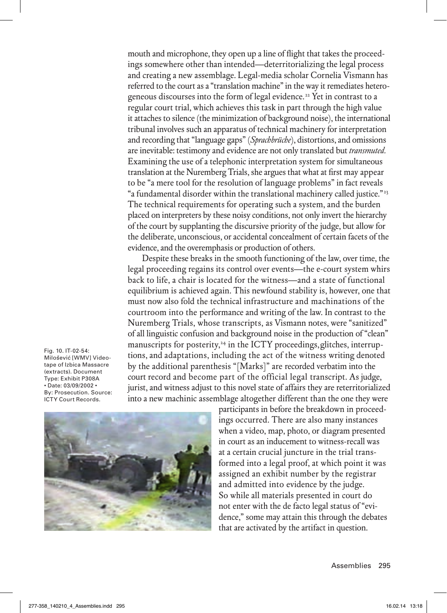mouth and microphone, they open up a line of flight that takes the proceedings somewhere other than intended—deterritorializing the legal process and creating a new assemblage. Legal-media scholar Cornelia Vismann has referred to the court as a "translation machine" in the way it remediates heterogeneous discourses into the form of legal evidence.<sup>22</sup> Yet in contrast to a regular court trial, which achieves this task in part through the high value it attaches to silence (the minimization of background noise), the international tribunal involves such an apparatus of technical machinery for interpretation and recording that "language gaps" (*Sprachbrüche*), distortions, and omissions are inevitable: testimony and evidence are not only translated but *transmuted.* Examining the use of a telephonic interpretation system for simultaneous translation at the Nuremberg Trials, she argues that what at first may appear to be "a mere tool for the resolution of language problems" in fact reveals "a fundamental disorder within the translational machinery called justice." 23 The technical requirements for operating such a system, and the burden placed on interpreters by these noisy conditions, not only invert the hierarchy of the court by supplanting the discursive priority of the judge, but allow for the deliberate, unconscious, or accidental concealment of certain facets of the evidence, and the overemphasis or production of others.

Despite these breaks in the smooth functioning of the law, over time, the legal proceeding regains its control over events—the e-court system whirs back to life, a chair is located for the witness—and a state of functional equilibrium is achieved again. This newfound stability is, however, one that must now also fold the technical infrastructure and machinations of the courtroom into the performance and writing of the law. In contrast to the Nuremberg Trials, whose transcripts, as Vismann notes, were "sanitized" of all linguistic confusion and background noise in the production of "clean" manuscripts for posterity,<sup>24</sup> in the ICTY proceedings, glitches, interruptions, and adaptations, including the act of the witness writing denoted by the additional parenthesis "[Marks]" are recorded verbatim into the court record and become part of the official legal transcript. As judge, jurist, and witness adjust to this novel state of affairs they are reterritorialized into a new machinic assemblage altogether different than the one they were

Fig. 10. IT-02-54: Milošević [WMV] Videotape of Izbica Massacre (extracts). Document Type: Exhibit P308A • Date: 03/09/2002 • By: Prosecution. Source: ICTY Court Records.



participants in before the breakdown in proceedings occurred. There are also many instances when a video, map, photo, or diagram presented in court as an inducement to witness-recall was at a certain crucial juncture in the trial transformed into a legal proof, at which point it was assigned an exhibit number by the registrar and admitted into evidence by the judge. So while all materials presented in court do not enter with the de facto legal status of "evidence," some may attain this through the debates that are activated by the artifact in question.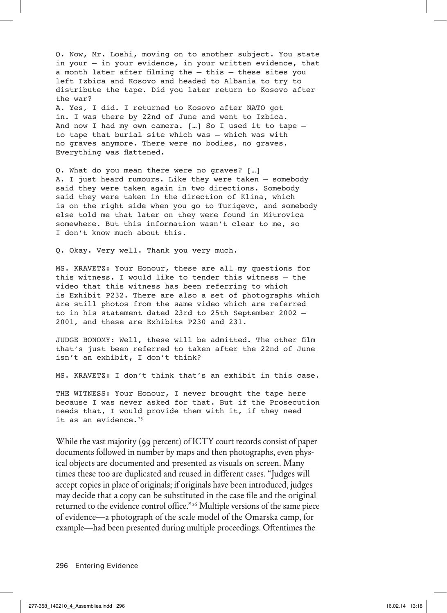Q. Now, Mr. Loshi, moving on to another subject. You state in your — in your evidence, in your written evidence, that a month later after filming the  $-$  this  $-$  these sites you left Izbica and Kosovo and headed to Albania to try to distribute the tape. Did you later return to Kosovo after the war? A. Yes, I did. I returned to Kosovo after NATO got

in. I was there by 22nd of June and went to Izbica. And now I had my own camera. […] So I used it to tape to tape that burial site which was — which was with no graves anymore. There were no bodies, no graves. Everything was flattened.

Q. What do you mean there were no graves? […] A. I just heard rumours. Like they were taken — somebody said they were taken again in two directions. Somebody said they were taken in the direction of Klina, which is on the right side when you go to Turiqevc, and somebody else told me that later on they were found in Mitrovica somewhere. But this information wasn't clear to me, so I don't know much about this.

Q. Okay. Very well. Thank you very much.

MS. KRAVETZ: Your Honour, these are all my questions for this witness. I would like to tender this witness — the video that this witness has been referring to which is Exhibit P232. There are also a set of photographs which are still photos from the same video which are referred to in his statement dated 23rd to 25th September 2002 — 2001, and these are Exhibits P230 and 231.

JUDGE BONOMY: Well, these will be admitted. The other film that's just been referred to taken after the 22nd of June isn't an exhibit, I don't think?

MS. KRAVETZ: I don't think that's an exhibit in this case.

THE WITNESS: Your Honour, I never brought the tape here because I was never asked for that. But if the Prosecution needs that, I would provide them with it, if they need it as an evidence. $25$ 

While the vast majority (99 percent) of ICTY court records consist of paper documents followed in number by maps and then photographs, even physical objects are documented and presented as visuals on screen. Many times these too are duplicated and reused in different cases. "Judges will accept copies in place of originals; if originals have been introduced, judges may decide that a copy can be substituted in the case file and the original returned to the evidence control office."<sup>26</sup> Multiple versions of the same piece of evidence—a photograph of the scale model of the Omarska camp, for example—had been presented during multiple proceedings. Oftentimes the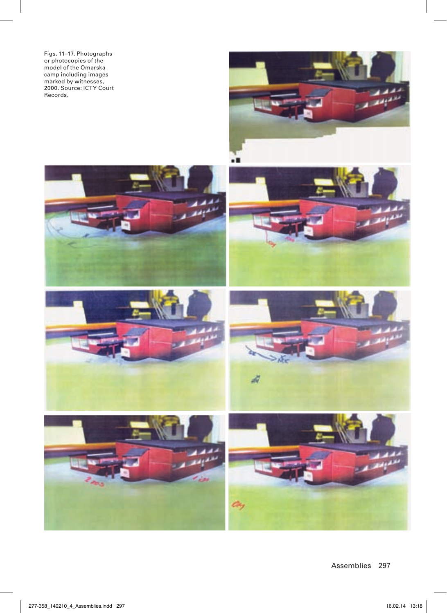Figs. 11–17. Photographs or photocopies of the model of the Omarska camp including images marked by witnesses, 2000. Source: ICTY Court Records.











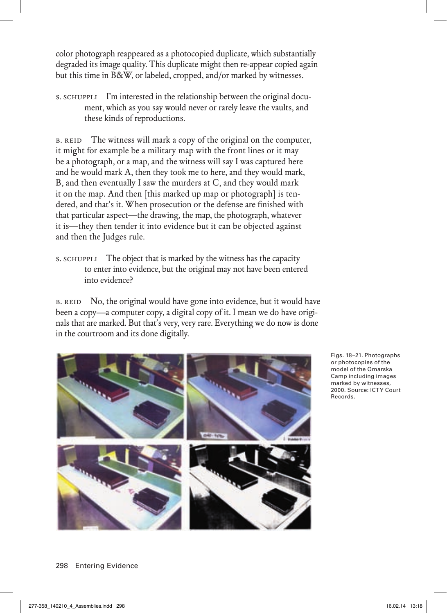color photograph reappeared as a photocopied duplicate, which substantially degraded its image quality. This duplicate might then re-appear copied again but this time in B&W, or labeled, cropped, and/or marked by witnesses.

s. SCHUPPLI I'm interested in the relationship between the original document, which as you say would never or rarely leave the vaults, and these kinds of reproductions.

B. REID The witness will mark a copy of the original on the computer, it might for example be a military map with the front lines or it may be a photograph, or a map, and the witness will say I was captured here and he would mark A, then they took me to here, and they would mark, B, and then eventually I saw the murders at C, and they would mark it on the map. And then [this marked up map or photograph] is tendered, and that's it. When prosecution or the defense are finished with that particular aspect—the drawing, the map, the photograph, whatever it is—they then tender it into evidence but it can be objected against and then the Judges rule.

s. SCHUPPLI The object that is marked by the witness has the capacity to enter into evidence, but the original may not have been entered into evidence?

B. REID No, the original would have gone into evidence, but it would have been a copy—a computer copy, a digital copy of it. I mean we do have originals that are marked. But that's very, very rare. Everything we do now is done in the courtroom and its done digitally.



Figs. 18–21. Photographs or photocopies of the model of the Omarska Camp including images marked by witnesses, 2000. Source: ICTY Court Records.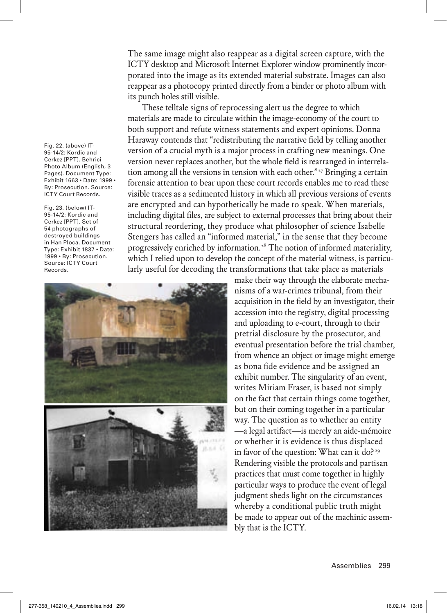The same image might also reappear as a digital screen capture, with the ICTY desktop and Microsoft Internet Explorer window prominently incorporated into the image as its extended material substrate. Images can also reappear as a photocopy printed directly from a binder or photo album with its punch holes still visible.

These telltale signs of reprocessing alert us the degree to which materials are made to circulate within the image-economy of the court to both support and refute witness statements and expert opinions. Donna Haraway contends that "redistributing the narrative field by telling another version of a crucial myth is a major process in crafting new meanings. One version never replaces another, but the whole field is rearranged in interrelation among all the versions in tension with each other." 27 Bringing a certain forensic attention to bear upon these court records enables me to read these visible traces as a sedimented history in which all previous versions of events are encrypted and can hypothetically be made to speak. When materials, including digital files, are subject to external processes that bring about their structural reordering, they produce what philosopher of science Isabelle Stengers has called an "informed material," in the sense that they become progressively enriched by information. 28 The notion of informed materiality, which I relied upon to develop the concept of the material witness, is particularly useful for decoding the transformations that take place as materials



make their way through the elaborate mechanisms of a war-crimes tribunal, from their acquisition in the field by an investigator, their accession into the registry, digital processing and uploading to e-court, through to their pretrial disclosure by the prosecutor, and eventual presentation before the trial chamber, from whence an object or image might emerge as bona fide evidence and be assigned an exhibit number. The singularity of an event, writes Miriam Fraser, is based not simply on the fact that certain things come together, but on their coming together in a particular way. The question as to whether an entity —a legal artifact—is merely an aide-mémoire or whether it is evidence is thus displaced in favor of the question: What can it do? 29 Rendering visible the protocols and partisan practices that must come together in highly particular ways to produce the event of legal judgment sheds light on the circumstances whereby a conditional public truth might be made to appear out of the machinic assembly that is the ICTY.

Assemblies 299

Fig. 22. (above) IT-95-14/2: Kordic and Cerkez [PPT]. Behrici Photo Album (English, 3 Pages). Document Type: Exhibit 1663 • Date: 1999 • By: Prosecution. Source: ICTY Court Records.

Fig. 23. (below) IT-95-14/2: Kordic and Cerkez [PPT]. Set of 54 photographs of destroyed buildings in Han Ploca. Document Type: Exhibit 1837 • Date: 1999 • By: Prosecution. Source: ICTY Court Records.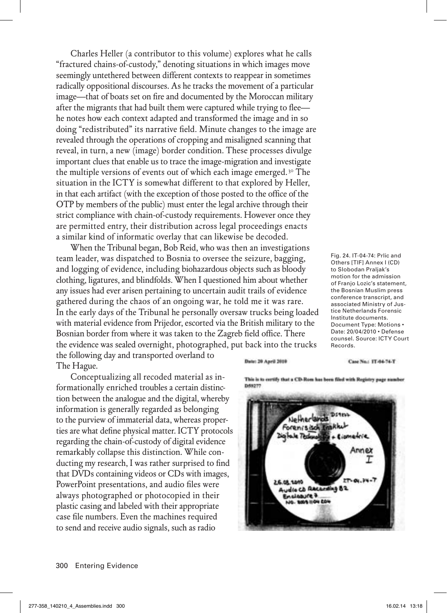Charles Heller (a contributor to this volume) explores what he calls "fractured chains-of-custody," denoting situations in which images move seemingly untethered between different contexts to reappear in sometimes radically oppositional discourses. As he tracks the movement of a particular image—that of boats set on fire and documented by the Moroccan military after the migrants that had built them were captured while trying to flee he notes how each context adapted and transformed the image and in so doing "redistributed" its narrative field. Minute changes to the image are revealed through the operations of cropping and misaligned scanning that reveal, in turn, a new (image) border condition. These processes divulge important clues that enable us to trace the image-migration and investigate the multiple versions of events out of which each image emerged. 30 The situation in the ICTY is somewhat different to that explored by Heller, in that each artifact (with the exception of those posted to the office of the OTP by members of the public) must enter the legal archive through their strict compliance with chain-of-custody requirements. However once they are permitted entry, their distribution across legal proceedings enacts a similar kind of informatic overlay that can likewise be decoded.

When the Tribunal began, Bob Reid, who was then an investigations team leader, was dispatched to Bosnia to oversee the seizure, bagging, and logging of evidence, including biohazardous objects such as bloody clothing, ligatures, and blindfolds. When I questioned him about whether any issues had ever arisen pertaining to uncertain audit trails of evidence gathered during the chaos of an ongoing war, he told me it was rare. In the early days of the Tribunal he personally oversaw trucks being loaded with material evidence from Prijedor, escorted via the British military to the Bosnian border from where it was taken to the Zagreb field office. There the evidence was sealed overnight, photographed, put back into the trucks the following day and transported overland to

The Hague.

Conceptualizing all recoded material as informationally enriched troubles a certain distinction between the analogue and the digital, whereby information is generally regarded as belonging to the purview of immaterial data, whereas properties are what define physical matter. ICTY protocols regarding the chain-of-custody of digital evidence remarkably collapse this distinction. While conducting my research, I was rather surprised to find that DVDs containing videos or CDs with images, PowerPoint presentations, and audio files were always photographed or photocopied in their plastic casing and labeled with their appropriate case file numbers. Even the machines required to send and receive audio signals, such as radio

Date: 20 April 2010

This is to certify that a CD-Ross has been filed with Registry page numb



277-358\_140210\_4\_Assemblies.indd 300 16.02.14 13:18

Fig. 24. IT-04-74: Prlic and Others [TIF] Annex I (CD) to Slobodan Praljak's motion for the admission of Franjo Lozic's statement, the Bosnian Muslim press conference transcript, and associated Ministry of Justice Netherlands Forensic Institute documents. Document Type: Motions • Date: 20/04/2010 • Defense counsel. Source: ICTY Court Records.

Case No.: 1T-94-74-T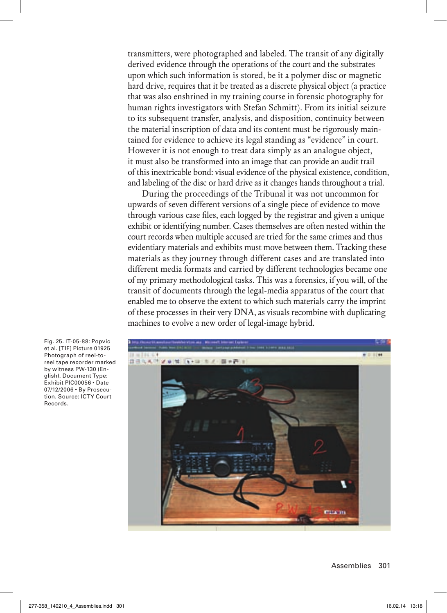transmitters, were photographed and labeled. The transit of any digitally derived evidence through the operations of the court and the substrates upon which such information is stored, be it a polymer disc or magnetic hard drive, requires that it be treated as a discrete physical object (a practice that was also enshrined in my training course in forensic photography for human rights investigators with Stefan Schmitt). From its initial seizure to its subsequent transfer, analysis, and disposition, continuity between the material inscription of data and its content must be rigorously maintained for evidence to achieve its legal standing as "evidence" in court. However it is not enough to treat data simply as an analogue object, it must also be transformed into an image that can provide an audit trail of this inextricable bond: visual evidence of the physical existence, condition, and labeling of the disc or hard drive as it changes hands throughout a trial.

During the proceedings of the Tribunal it was not uncommon for upwards of seven different versions of a single piece of evidence to move through various case files, each logged by the registrar and given a unique exhibit or identifying number. Cases themselves are often nested within the court records when multiple accused are tried for the same crimes and thus evidentiary materials and exhibits must move between them. Tracking these materials as they journey through different cases and are translated into different media formats and carried by different technologies became one of my primary methodological tasks. This was a forensics, if you will, of the transit of documents through the legal-media apparatus of the court that enabled me to observe the extent to which such materials carry the imprint of these processes in their very DNA, as visuals recombine with duplicating machines to evolve a new order of legal-image hybrid.



Fig. 25. IT-05-88: Popvic et al. [TIF] Picture 01925 Photograph of reel-toreel tape recorder marked by witness PW-130 (English). Document Type: Exhibit PIC00056 • Date 07/12/2006 • By Prosecution. Source: ICTY Court Records.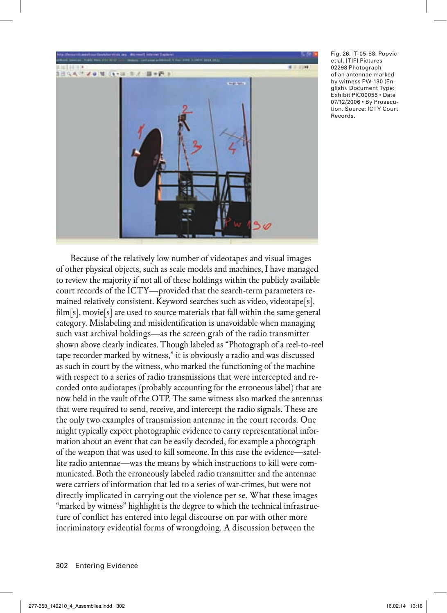

Fig. 26. IT-05-88: Popvic et al. [TIF] Pictures 02298 Photograph of an antennae marked by witness PW-130 (English). Document Type: Exhibit PIC00055 • Date 07/12/2006 • By Prosecution. Source: ICTY Court Records.

Because of the relatively low number of videotapes and visual images of other physical objects, such as scale models and machines, I have managed to review the majority if not all of these holdings within the publicly available court records of the ICTY—provided that the search-term parameters remained relatively consistent. Keyword searches such as video, videotape[s],  $film[s], movie[s]$  are used to source materials that fall within the same general category. Mislabeling and misidentification is unavoidable when managing such vast archival holdings—as the screen grab of the radio transmitter shown above clearly indicates. Though labeled as "Photograph of a reel-to-reel tape recorder marked by witness," it is obviously a radio and was discussed as such in court by the witness, who marked the functioning of the machine with respect to a series of radio transmissions that were intercepted and recorded onto audiotapes (probably accounting for the erroneous label) that are now held in the vault of the OTP. The same witness also marked the antennas that were required to send, receive, and intercept the radio signals. These are the only two examples of transmission antennae in the court records. One might typically expect photographic evidence to carry representational information about an event that can be easily decoded, for example a photograph of the weapon that was used to kill someone. In this case the evidence—satellite radio antennae—was the means by which instructions to kill were communicated. Both the erroneously labeled radio transmitter and the antennae were carriers of information that led to a series of war-crimes, but were not directly implicated in carrying out the violence per se. What these images "marked by witness" highlight is the degree to which the technical infrastructure of conflict has entered into legal discourse on par with other more incriminatory evidential forms of wrongdoing. A discussion between the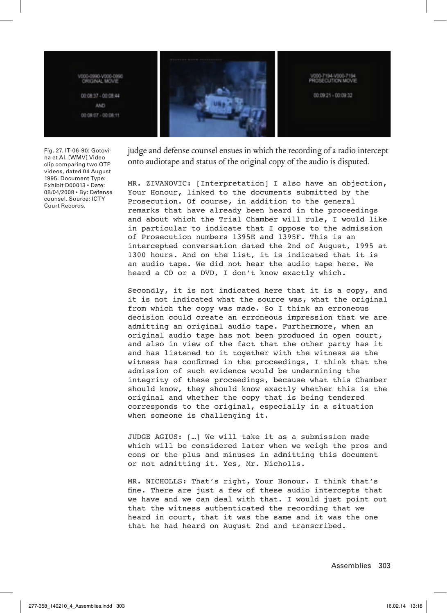

Fig. 27. IT-06-90: Gotovina et Al. [WMV] Video clip comparing two OTP videos, dated 04 August 1995. Document Type: Exhibit D00013 • Date: 08/04/2008 • By: Defense counsel. Source: ICTY Court Records.

judge and defense counsel ensues in which the recording of a radio intercept onto audiotape and status of the original copy of the audio is disputed.

MR. ZIVANOVIC: [Interpretation] I also have an objection, Your Honour, linked to the documents submitted by the Prosecution. Of course, in addition to the general remarks that have already been heard in the proceedings and about which the Trial Chamber will rule, I would like in particular to indicate that I oppose to the admission of Prosecution numbers 1395E and 1395F. This is an intercepted conversation dated the 2nd of August, 1995 at 1300 hours. And on the list, it is indicated that it is an audio tape. We did not hear the audio tape here. We heard a CD or a DVD, I don't know exactly which.

Secondly, it is not indicated here that it is a copy, and it is not indicated what the source was, what the original from which the copy was made. So I think an erroneous decision could create an erroneous impression that we are admitting an original audio tape. Furthermore, when an original audio tape has not been produced in open court, and also in view of the fact that the other party has it and has listened to it together with the witness as the witness has confirmed in the proceedings, I think that the admission of such evidence would be undermining the integrity of these proceedings, because what this Chamber should know, they should know exactly whether this is the original and whether the copy that is being tendered corresponds to the original, especially in a situation when someone is challenging it.

JUDGE AGIUS: […] We will take it as a submission made which will be considered later when we weigh the pros and cons or the plus and minuses in admitting this document or not admitting it. Yes, Mr. Nicholls.

MR. NICHOLLS: That's right, Your Honour. I think that's fine. There are just a few of these audio intercepts that we have and we can deal with that. I would just point out that the witness authenticated the recording that we heard in court, that it was the same and it was the one that he had heard on August 2nd and transcribed.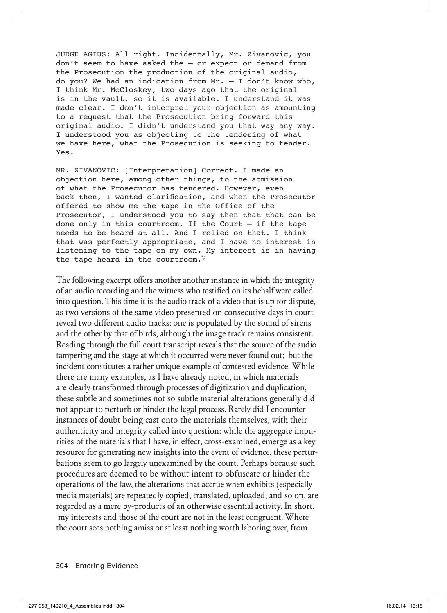JUDGE AGIUS: All right. Incidentally, Mr. Zivanovic, you don't seem to have asked the — or expect or demand from the Prosecution the production of the original audio, do you? We had an indication from Mr. — I don't know who, I think Mr. McCloskey, two days ago that the original is in the vault, so it is available. I understand it was made clear. I don't interpret your objection as amounting to a request that the Prosecution bring forward this original audio. I didn't understand you that way any way. I understood you as objecting to the tendering of what we have here, what the Prosecution is seeking to tender. Yes.

MR. ZIVANOVIC: [Interpretation] Correct. I made an objection here, among other things, to the admission of what the Prosecutor has tendered. However, even back then, I wanted clarification, and when the Prosecutor offered to show me the tape in the Office of the Prosecutor, I understood you to say then that that can be done only in this courtroom. If the Court — if the tape needs to be heard at all. And I relied on that. I think that was perfectly appropriate, and I have no interest in listening to the tape on my own. My interest is in having the tape heard in the courtroom.  $3<sup>I</sup>$ 

The following excerpt offers another another instance in which the integrity of an audio recording and the witness who testified on its behalf were called into question. This time it is the audio track of a video that is up for dispute, as two versions of the same video presented on consecutive days in court reveal two different audio tracks: one is populated by the sound of sirens and the other by that of birds, although the image track remains consistent. Reading through the full court transcript reveals that the source of the audio tampering and the stage at which it occurred were never found out; but the incident constitutes a rather unique example of contested evidence. While there are many examples, as I have already noted, in which materials are clearly transformed through processes of digitization and duplication, these subtle and sometimes not so subtle material alterations generally did not appear to perturb or hinder the legal process. Rarely did I encounter instances of doubt being cast onto the materials themselves, with their authenticity and integrity called into question: while the aggregate impurities of the materials that I have, in effect, cross-examined, emerge as a key resource for generating new insights into the event of evidence, these perturbations seem to go largely unexamined by the court. Perhaps because such procedures are deemed to be without intent to obfuscate or hinder the operations of the law, the alterations that accrue when exhibits (especially media materials) are repeatedly copied, translated, uploaded, and so on, are regarded as a mere by-products of an otherwise essential activity. In short, my interests and those of the court are not in the least congruent. Where the court sees nothing amiss or at least nothing worth laboring over, from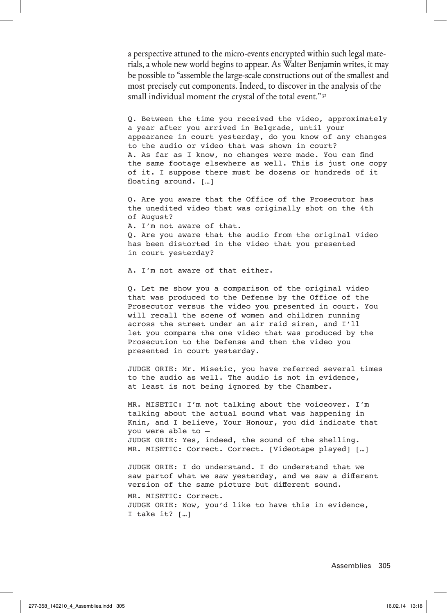a perspective attuned to the micro-events encrypted within such legal materials, a whole new world begins to appear. As Walter Benjamin writes, it may be possible to "assemble the large-scale constructions out of the smallest and most precisely cut components. Indeed, to discover in the analysis of the small individual moment the crystal of the total event."<sup>32</sup>

Q. Between the time you received the video, approximately a year after you arrived in Belgrade, until your appearance in court yesterday, do you know of any changes to the audio or video that was shown in court? A. As far as I know, no changes were made. You can find the same footage elsewhere as well. This is just one copy of it. I suppose there must be dozens or hundreds of it floating around.  $[...]$ 

Q. Are you aware that the Office of the Prosecutor has the unedited video that was originally shot on the 4th of August? A. I'm not aware of that. Q. Are you aware that the audio from the original video has been distorted in the video that you presented in court yesterday?

A. I'm not aware of that either.

Q. Let me show you a comparison of the original video that was produced to the Defense by the Office of the Prosecutor versus the video you presented in court. You will recall the scene of women and children running across the street under an air raid siren, and I'll let you compare the one video that was produced by the Prosecution to the Defense and then the video you presented in court yesterday.

JUDGE ORIE: Mr. Misetic, you have referred several times to the audio as well. The audio is not in evidence, at least is not being ignored by the Chamber.

MR. MISETIC: I'm not talking about the voiceover. I'm talking about the actual sound what was happening in Knin, and I believe, Your Honour, you did indicate that you were able to — JUDGE ORIE: Yes, indeed, the sound of the shelling. MR. MISETIC: Correct. Correct. [Videotape played] […]

JUDGE ORIE: I do understand. I do understand that we saw partof what we saw yesterday, and we saw a different version of the same picture but different sound. MR. MISETIC: Correct. JUDGE ORIE: Now, you'd like to have this in evidence, I take it? […]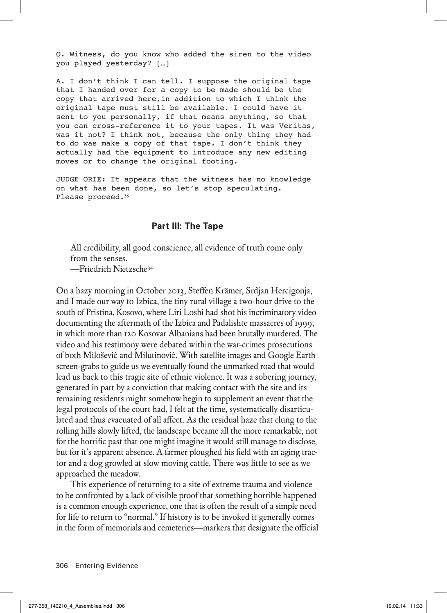Q. Witness, do you know who added the siren to the video you played yesterday? […]

A. I don't think I can tell. I suppose the original tape that I handed over for a copy to be made should be the copy that arrived here,in addition to which I think the original tape must still be available. I could have it sent to you personally, if that means anything, so that you can cross-reference it to your tapes. It was Veritas, was it not? I think not, because the only thing they had to do was make a copy of that tape. I don't think they actually had the equipment to introduce any new editing moves or to change the original footing.

JUDGE ORIE: It appears that the witness has no knowledge on what has been done, so let's stop speculating. Please proceed. 33

## **Part III: The Tape**

All credibility, all good conscience, all evidence of truth come only from the senses.

—Friedrich Nietzsche 34

On a hazy morning in October 2013, Steffen Krämer, Srdjan Hercigonja, and I made our way to Izbica, the tiny rural village a two-hour drive to the south of Pristina, Kosovo, where Liri Loshi had shot his incriminatory video documenting the aftermath of the Izbica and Padalishte massacres of 1999, in which more than 120 Kosovar Albanians had been brutally murdered. The video and his testimony were debated within the war-crimes prosecutions of both Milošević and Milutinović. With satellite images and Google Earth screen-grabs to guide us we eventually found the unmarked road that would lead us back to this tragic site of ethnic violence. It was a sobering journey, generated in part by a conviction that making contact with the site and its remaining residents might somehow begin to supplement an event that the legal protocols of the court had, I felt at the time, systematically disarticulated and thus evacuated of all affect. As the residual haze that clung to the rolling hills slowly lifted, the landscape became all the more remarkable, not for the horrific past that one might imagine it would still manage to disclose, but for it's apparent absence. A farmer ploughed his field with an aging tractor and a dog growled at slow moving cattle. There was little to see as we approached the meadow.

This experience of returning to a site of extreme trauma and violence to be confronted by a lack of visible proof that something horrible happened is a common enough experience, one that is often the result of a simple need for life to return to "normal." If history is to be invoked it generally comes in the form of memorials and cemeteries—markers that designate the official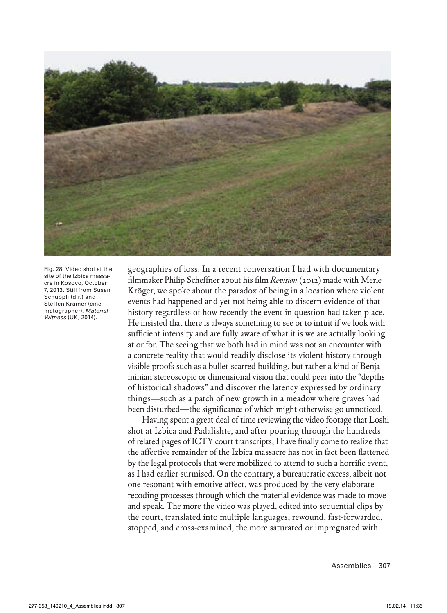

Fig. 28. Video shot at the site of the Izbica massacre in Kosovo, October 7, 2013. Still from Susan Schuppli (dir.) and Steffen Krämer (cinematographer), *Material Witness* (UK, 2014).

geographies of loss. In a recent conversation I had with documentary filmmaker Philip Scheffner about his film *Revision* (2012) made with Merle Kröger, we spoke about the paradox of being in a location where violent events had happened and yet not being able to discern evidence of that history regardless of how recently the event in question had taken place. He insisted that there is always something to see or to intuit if we look with sufficient intensity and are fully aware of what it is we are actually looking at or for. The seeing that we both had in mind was not an encounter with a concrete reality that would readily disclose its violent history through visible proofs such as a bullet-scarred building, but rather a kind of Benjaminian stereoscopic or dimensional vision that could peer into the "depths of historical shadows" and discover the latency expressed by ordinary things—such as a patch of new growth in a meadow where graves had been disturbed—the significance of which might otherwise go unnoticed.

Having spent a great deal of time reviewing the video footage that Loshi shot at Izbica and Padalishte, and after pouring through the hundreds of related pages of ICTY court transcripts, I have finally come to realize that the affective remainder of the Izbica massacre has not in fact been flattened by the legal protocols that were mobilized to attend to such a horrific event, as I had earlier surmised. On the contrary, a bureaucratic excess, albeit not one resonant with emotive affect, was produced by the very elaborate recoding processes through which the material evidence was made to move and speak. The more the video was played, edited into sequential clips by the court, translated into multiple languages, rewound, fast-forwarded, stopped, and cross-examined, the more saturated or impregnated with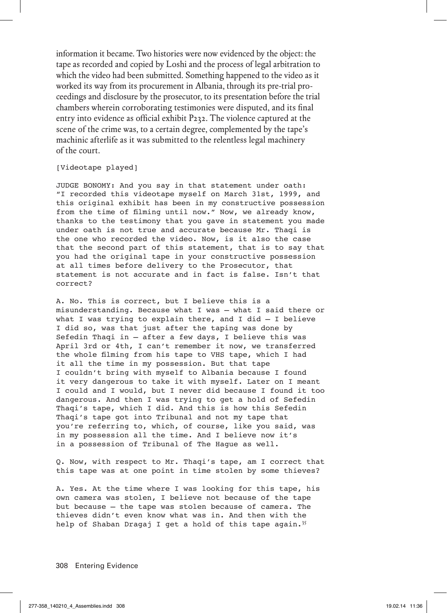information it became. Two histories were now evidenced by the object: the tape as recorded and copied by Loshi and the process of legal arbitration to which the video had been submitted. Something happened to the video as it worked its way from its procurement in Albania, through its pre-trial proceedings and disclosure by the prosecutor, to its presentation before the trial chambers wherein corroborating testimonies were disputed, and its final entry into evidence as official exhibit P232. The violence captured at the scene of the crime was, to a certain degree, complemented by the tape's machinic afterlife as it was submitted to the relentless legal machinery of the court.

[Videotape played]

JUDGE BONOMY: And you say in that statement under oath: "I recorded this videotape myself on March 31st, 1999, and this original exhibit has been in my constructive possession from the time of filming until now." Now, we already know, thanks to the testimony that you gave in statement you made under oath is not true and accurate because Mr. Thaqi is the one who recorded the video. Now, is it also the case that the second part of this statement, that is to say that you had the original tape in your constructive possession at all times before delivery to the Prosecutor, that statement is not accurate and in fact is false. Isn't that correct?

A. No. This is correct, but I believe this is a misunderstanding. Because what I was — what I said there or what I was trying to explain there, and I did — I believe I did so, was that just after the taping was done by Sefedin Thaqi in — after a few days, I believe this was April 3rd or 4th, I can't remember it now, we transferred the whole filming from his tape to VHS tape, which I had it all the time in my possession. But that tape I couldn't bring with myself to Albania because I found it very dangerous to take it with myself. Later on I meant I could and I would, but I never did because I found it too dangerous. And then I was trying to get a hold of Sefedin Thaqi's tape, which I did. And this is how this Sefedin Thaqi's tape got into Tribunal and not my tape that you're referring to, which, of course, like you said, was in my possession all the time. And I believe now it's in a possession of Tribunal of The Hague as well.

Q. Now, with respect to Mr. Thaqi's tape, am I correct that this tape was at one point in time stolen by some thieves?

A. Yes. At the time where I was looking for this tape, his own camera was stolen, I believe not because of the tape but because — the tape was stolen because of camera. The thieves didn't even know what was in. And then with the help of Shaban Dragaj I get a hold of this tape again.<sup>35</sup>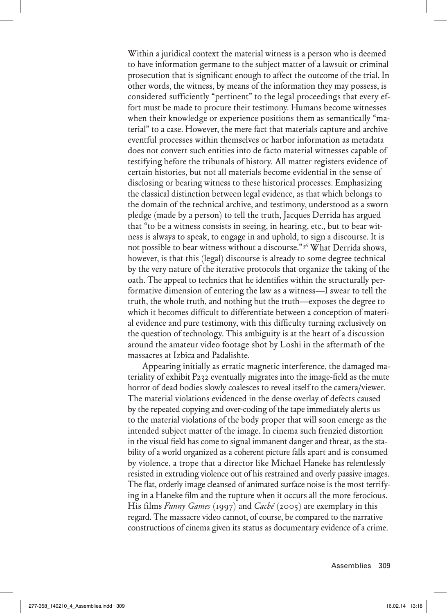Within a juridical context the material witness is a person who is deemed to have information germane to the subject matter of a lawsuit or criminal prosecution that is significant enough to affect the outcome of the trial. In other words, the witness, by means of the information they may possess, is considered sufficiently "pertinent" to the legal proceedings that every effort must be made to procure their testimony. Humans become witnesses when their knowledge or experience positions them as semantically "material" to a case. However, the mere fact that materials capture and archive eventful processes within themselves or harbor information as metadata does not convert such entities into de facto material witnesses capable of testifying before the tribunals of history. All matter registers evidence of certain histories, but not all materials become evidential in the sense of disclosing or bearing witness to these historical processes. Emphasizing the classical distinction between legal evidence, as that which belongs to the domain of the technical archive, and testimony, understood as a sworn pledge (made by a person) to tell the truth, Jacques Derrida has argued that "to be a witness consists in seeing, in hearing, etc., but to bear witness is always to speak, to engage in and uphold, to sign a discourse. It is not possible to bear witness without a discourse."<sup>36</sup> What Derrida shows, however, is that this (legal) discourse is already to some degree technical by the very nature of the iterative protocols that organize the taking of the oath. The appeal to technics that he identifies within the structurally performative dimension of entering the law as a witness—I swear to tell the truth, the whole truth, and nothing but the truth—exposes the degree to which it becomes difficult to differentiate between a conception of material evidence and pure testimony, with this difficulty turning exclusively on the question of technology. This ambiguity is at the heart of a discussion around the amateur video footage shot by Loshi in the aftermath of the massacres at Izbica and Padalishte.

Appearing initially as erratic magnetic interference, the damaged materiality of exhibit P232 eventually migrates into the image-field as the mute horror of dead bodies slowly coalesces to reveal itself to the camera/viewer. The material violations evidenced in the dense overlay of defects caused by the repeated copying and over-coding of the tape immediately alerts us to the material violations of the body proper that will soon emerge as the intended subject matter of the image. In cinema such frenzied distortion in the visual field has come to signal immanent danger and threat, as the stability of a world organized as a coherent picture falls apart and is consumed by violence, a trope that a director like Michael Haneke has relentlessly resisted in extruding violence out of his restrained and overly passive images. The flat, orderly image cleansed of animated surface noise is the most terrifying in a Haneke film and the rupture when it occurs all the more ferocious. His films *Funny Games* (1997) and *Caché* (2005) are exemplary in this regard. The massacre video cannot, of course, be compared to the narrative constructions of cinema given its status as documentary evidence of a crime.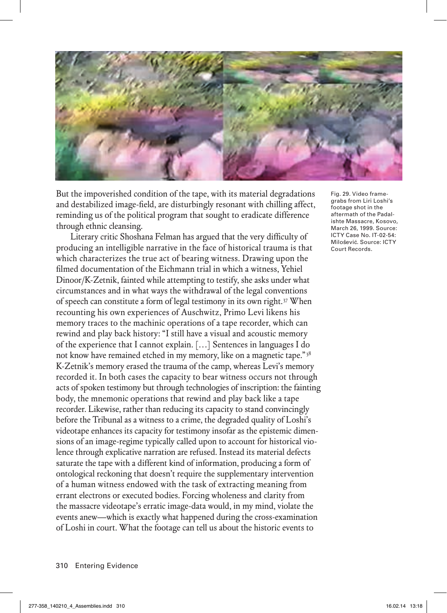

But the impoverished condition of the tape, with its material degradations and destabilized image-field, are disturbingly resonant with chilling affect, reminding us of the political program that sought to eradicate difference through ethnic cleansing.

Literary critic Shoshana Felman has argued that the very difficulty of producing an intelligible narrative in the face of historical trauma is that which characterizes the true act of bearing witness. Drawing upon the filmed documentation of the Eichmann trial in which a witness, Yehiel Dinoor/K-Zetnik, fainted while attempting to testify, she asks under what circumstances and in what ways the withdrawal of the legal conventions of speech can constitute a form of legal testimony in its own right. 37 When recounting his own experiences of Auschwitz, Primo Levi likens his memory traces to the machinic operations of a tape recorder, which can rewind and play back history: "I still have a visual and acoustic memory of the experience that I cannot explain. […] Sentences in languages I do not know have remained etched in my memory, like on a magnetic tape."<sup>38</sup> K-Zetnik's memory erased the trauma of the camp, whereas Levi's memory recorded it. In both cases the capacity to bear witness occurs not through acts of spoken testimony but through technologies of inscription: the fainting body, the mnemonic operations that rewind and play back like a tape recorder. Likewise, rather than reducing its capacity to stand convincingly before the Tribunal as a witness to a crime, the degraded quality of Loshi's videotape enhances its capacity for testimony insofar as the epistemic dimensions of an image-regime typically called upon to account for historical violence through explicative narration are refused. Instead its material defects saturate the tape with a different kind of information, producing a form of ontological reckoning that doesn't require the supplementary intervention of a human witness endowed with the task of extracting meaning from errant electrons or executed bodies. Forcing wholeness and clarity from the massacre videotape's erratic image-data would, in my mind, violate the events anew—which is exactly what happened during the cross-examination of Loshi in court. What the footage can tell us about the historic events to

Fig. 29. Video framegrabs from Liri Loshi's footage shot in the aftermath of the Padalishte Massacre, Kosovo, March 26, 1999. Source: ICTY Case No. IT-02-54: Milošević, Source: ICTY Court Records.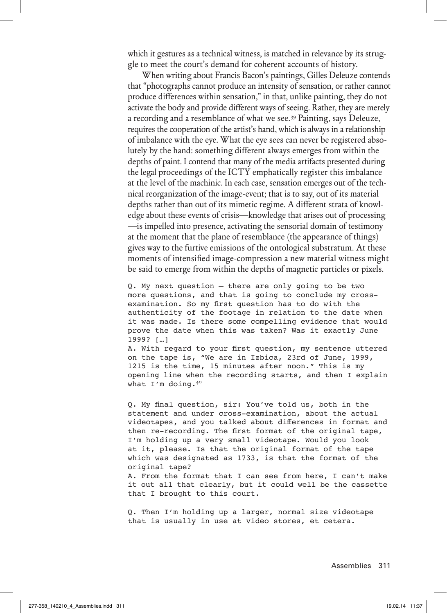which it gestures as a technical witness, is matched in relevance by its struggle to meet the court's demand for coherent accounts of history.

When writing about Francis Bacon's paintings, Gilles Deleuze contends that "photographs cannot produce an intensity of sensation, or rather cannot produce differences within sensation," in that, unlike painting, they do not activate the body and provide different ways of seeing. Rather, they are merely a recording and a resemblance of what we see. 39 Painting, says Deleuze, requires the cooperation of the artist's hand, which is always in a relationship of imbalance with the eye. What the eye sees can never be registered absolutely by the hand: something different always emerges from within the depths of paint. I contend that many of the media artifacts presented during the legal proceedings of the ICTY emphatically register this imbalance at the level of the machinic. In each case, sensation emerges out of the technical reorganization of the image-event; that is to say, out of its material depths rather than out of its mimetic regime. A different strata of knowledge about these events of crisis—knowledge that arises out of processing —is impelled into presence, activating the sensorial domain of testimony at the moment that the plane of resemblance (the appearance of things) gives way to the furtive emissions of the ontological substratum. At these moments of intensified image-compression a new material witness might be said to emerge from within the depths of magnetic particles or pixels.

Q. My next question — there are only going to be two more questions, and that is going to conclude my crossexamination. So my first question has to do with the authenticity of the footage in relation to the date when it was made. Is there some compelling evidence that would prove the date when this was taken? Was it exactly June 1999? […] A. With regard to your first question, my sentence uttered on the tape is, "We are in Izbica, 23rd of June, 1999, 1215 is the time, 15 minutes after noon." This is my opening line when the recording starts, and then I explain what I'm doing. $4^{\circ}$ 

Q. My final question, sir: You've told us, both in the statement and under cross-examination, about the actual videotapes, and you talked about differences in format and then re-recording. The first format of the original tape, I'm holding up a very small videotape. Would you look at it, please. Is that the original format of the tape which was designated as 1733, is that the format of the original tape?

A. From the format that I can see from here, I can't make it out all that clearly, but it could well be the cassette that I brought to this court.

Q. Then I'm holding up a larger, normal size videotape that is usually in use at video stores, et cetera.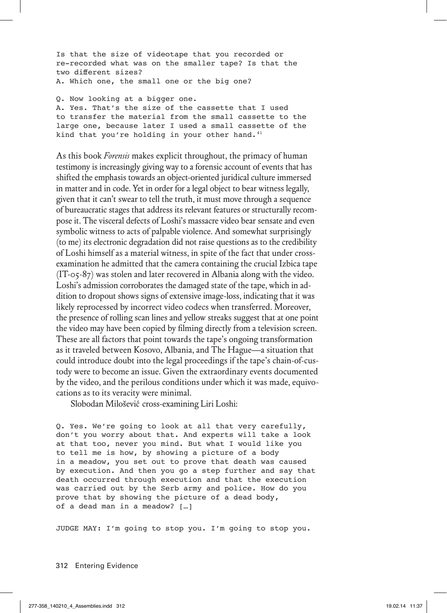Is that the size of videotape that you recorded or re-recorded what was on the smaller tape? Is that the two different sizes? A. Which one, the small one or the big one?

Q. Now looking at a bigger one.

A. Yes. That's the size of the cassette that I used to transfer the material from the small cassette to the large one, because later I used a small cassette of the kind that you're holding in your other hand.<sup>41</sup>

As this book *Forensis* makes explicit throughout, the primacy of human testimony is increasingly giving way to a forensic account of events that has shifted the emphasis towards an object-oriented juridical culture immersed in matter and in code. Yet in order for a legal object to bear witness legally, given that it can't swear to tell the truth, it must move through a sequence of bureaucratic stages that address its relevant features or structurally recompose it. The visceral defects of Loshi's massacre video bear sensate and even symbolic witness to acts of palpable violence. And somewhat surprisingly (to me) its electronic degradation did not raise questions as to the credibility of Loshi himself as a material witness, in spite of the fact that under crossexamination he admitted that the camera containing the crucial Izbica tape (IT-05-87) was stolen and later recovered in Albania along with the video. Loshi's admission corroborates the damaged state of the tape, which in addition to dropout shows signs of extensive image-loss, indicating that it was likely reprocessed by incorrect video codecs when transferred. Moreover, the presence of rolling scan lines and yellow streaks suggest that at one point the video may have been copied by filming directly from a television screen. These are all factors that point towards the tape's ongoing transformation as it traveled between Kosovo, Albania, and The Hague—a situation that could introduce doubt into the legal proceedings if the tape's chain-of-custody were to become an issue. Given the extraordinary events documented by the video, and the perilous conditions under which it was made, equivocations as to its veracity were minimal.

Slobodan Milošević cross-examining Liri Loshi:

Q. Yes. We're going to look at all that very carefully, don't you worry about that. And experts will take a look at that too, never you mind. But what I would like you to tell me is how, by showing a picture of a body in a meadow, you set out to prove that death was caused by execution. And then you go a step further and say that death occurred through execution and that the execution was carried out by the Serb army and police. How do you prove that by showing the picture of a dead body, of a dead man in a meadow? […]

JUDGE MAY: I'm going to stop you. I'm going to stop you.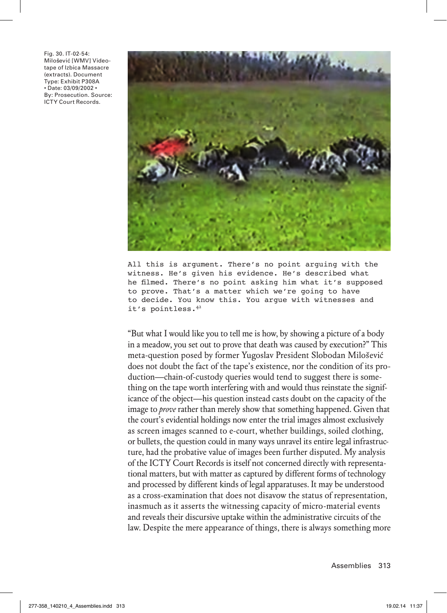Fig. 30. IT-02-54: Milošević [WMV] Videotape of Izbica Massacre (extracts). Document Type: Exhibit P308A • Date: 03/09/2002 • By: Prosecution. Source: ICTY Court Records.



All this is argument. There's no point arguing with the witness. He's given his evidence. He's described what he filmed. There's no point asking him what it's supposed to prove. That's a matter which we're going to have to decide. You know this. You argue with witnesses and it's pointless.<sup>42</sup>

"But what I would like you to tell me is how, by showing a picture of a body in a meadow, you set out to prove that death was caused by execution?" This meta-question posed by former Yugoslav President Slobodan Milošević does not doubt the fact of the tape's existence, nor the condition of its production—chain-of-custody queries would tend to suggest there is something on the tape worth interfering with and would thus reinstate the significance of the object—his question instead casts doubt on the capacity of the image to *prove* rather than merely show that something happened. Given that the court's evidential holdings now enter the trial images almost exclusively as screen images scanned to e-court, whether buildings, soiled clothing, or bullets, the question could in many ways unravel its entire legal infrastructure, had the probative value of images been further disputed. My analysis of the ICTY Court Records is itself not concerned directly with representational matters, but with matter as captured by different forms of technology and processed by different kinds of legal apparatuses. It may be understood as a cross-examination that does not disavow the status of representation, inasmuch as it asserts the witnessing capacity of micro-material events and reveals their discursive uptake within the administrative circuits of the law. Despite the mere appearance of things, there is always something more